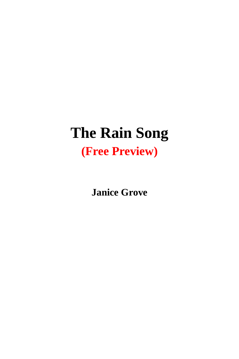## **The Rain Song (Free Preview)**

**Janice Grove**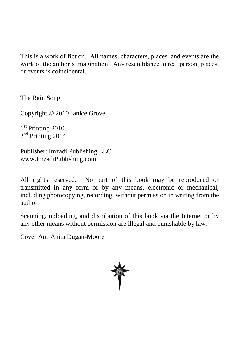This is a work of fiction. All names, characters, places, and events are the work of the author's imagination. Any resemblance to real person, places, or events is coincidental.

The Rain Song

Copyright © 2010 Janice Grove

1<sup>st</sup> Printing 2010 2<sup>nd</sup> Printing 2014

Publisher: Imzadi Publishing LLC www.ImzadiPublishing.com

All rights reserved. No part of this book may be reproduced or transmitted in any form or by any means, electronic or mechanical, including photocopying, recording, without permission in writing from the author.

Scanning, uploading, and distribution of this book via the Internet or by any other means without permission are illegal and punishable by law.

Cover Art: Anita Dugan-Moore

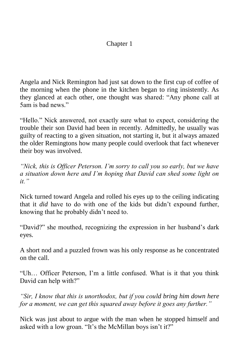## Chapter 1

Angela and Nick Remington had just sat down to the first cup of coffee of the morning when the phone in the kitchen began to ring insistently. As they glanced at each other, one thought was shared: "Any phone call at 5am is bad news."

"Hello." Nick answered, not exactly sure what to expect, considering the trouble their son David had been in recently. Admittedly, he usually was guilty of reacting to a given situation, not starting it, but it always amazed the older Remingtons how many people could overlook that fact whenever their boy was involved.

*"Nick, this is Officer Peterson. I'm sorry to call you so early, but we have a situation down here and I'm hoping that David can shed some light on it."*

Nick turned toward Angela and rolled his eyes up to the ceiling indicating that it *did* have to do with one of the kids but didn't expound further, knowing that he probably didn't need to.

"David?" she mouthed, recognizing the expression in her husband's dark eyes.

A short nod and a puzzled frown was his only response as he concentrated on the call.

"Uh… Officer Peterson, I'm a little confused. What is it that you think David can help with?"

*"Sir, I know that this is unorthodox, but if you could bring him down here for a moment, we can get this squared away before it goes any further."*

Nick was just about to argue with the man when he stopped himself and asked with a low groan. "It's the McMillan boys isn't it?"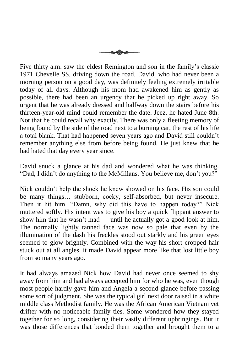

Five thirty a.m. saw the eldest Remington and son in the family's classic 1971 Chevelle SS, driving down the road. David, who had never been a morning person on a good day, was definitely feeling extremely irritable today of all days. Although his mom had awakened him as gently as possible, there had been an urgency that he picked up right away. So urgent that he was already dressed and halfway down the stairs before his thirteen-year-old mind could remember the date. Jeez, he hated June 8th. Not that he could recall why exactly. There was only a fleeting memory of being found by the side of the road next to a burning car, the rest of his life a total blank. That had happened seven years ago and David still couldn't remember anything else from before being found. He just knew that he had hated that day every year since.

David snuck a glance at his dad and wondered what he was thinking. "Dad, I didn't do anything to the McMillans. You believe me, don't you?"

Nick couldn't help the shock he knew showed on his face. His son could be many things… stubborn, cocky, self-absorbed, but never insecure. Then it hit him. "Damn, why did this have to happen today?" Nick muttered softly. His intent was to give his boy a quick flippant answer to show him that he wasn't mad — until he actually got a good look at him. The normally lightly tanned face was now so pale that even by the illumination of the dash his freckles stood out starkly and his green eyes seemed to glow brightly. Combined with the way his short cropped hair stuck out at all angles, it made David appear more like that lost little boy from so many years ago.

It had always amazed Nick how David had never once seemed to shy away from him and had always accepted him for who he was, even though most people hardly gave him and Angela a second glance before passing some sort of judgment. She was the typical girl next door raised in a white middle class Methodist family. He was the African American Vietnam vet drifter with no noticeable family ties. Some wondered how they stayed together for so long, considering their vastly different upbringings. But it was those differences that bonded them together and brought them to a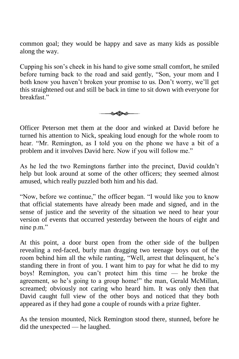common goal; they would be happy and save as many kids as possible along the way.

Cupping his son's cheek in his hand to give some small comfort, he smiled before turning back to the road and said gently, "Son, your mom and I both know you haven't broken your promise to us. Don't worry, we'll get this straightened out and still be back in time to sit down with everyone for breakfast."



Officer Peterson met them at the door and winked at David before he turned his attention to Nick, speaking loud enough for the whole room to hear. "Mr. Remington, as I told you on the phone we have a bit of a problem and it involves David here. Now if you will follow me."

As he led the two Remingtons farther into the precinct, David couldn't help but look around at some of the other officers; they seemed almost amused, which really puzzled both him and his dad.

"Now, before we continue," the officer began. "I would like you to know that official statements have already been made and signed, and in the sense of justice and the severity of the situation we need to hear your version of events that occurred yesterday between the hours of eight and nine p.m."

At this point, a door burst open from the other side of the bullpen revealing a red-faced, burly man dragging two teenage boys out of the room behind him all the while ranting, "Well, arrest that delinquent, he's standing there in front of you. I want him to pay for what he did to my boys! Remington, you can't protect him this time — he broke the agreement, so he's going to a group home!" the man, Gerald McMillan, screamed; obviously not caring who heard him. It was only then that David caught full view of the other boys and noticed that they both appeared as if they had gone a couple of rounds with a prize fighter.

As the tension mounted, Nick Remington stood there, stunned, before he did the unexpected — he laughed.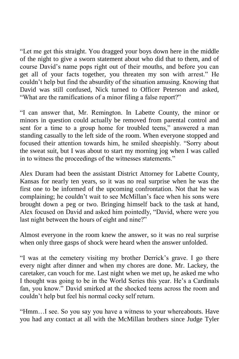"Let me get this straight. You dragged your boys down here in the middle of the night to give a sworn statement about who did that to them, and of course David's name pops right out of their mouths, and before you can get all of your facts together, you threaten my son with arrest." He couldn't help but find the absurdity of the situation amusing. Knowing that David was still confused, Nick turned to Officer Peterson and asked, "What are the ramifications of a minor filing a false report?"

"I can answer that, Mr. Remington. In Labette County, the minor or minors in question could actually be removed from parental control and sent for a time to a group home for troubled teens," answered a man standing casually to the left side of the room. When everyone stopped and focused their attention towards him, he smiled sheepishly. "Sorry about the sweat suit, but I was about to start my morning jog when I was called in to witness the proceedings of the witnesses statements."

Alex Duram had been the assistant District Attorney for Labette County, Kansas for nearly ten years, so it was no real surprise when he was the first one to be informed of the upcoming confrontation. Not that he was complaining; he couldn't wait to see McMillan's face when his sons were brought down a peg or two. Bringing himself back to the task at hand, Alex focused on David and asked him pointedly, "David, where were you last night between the hours of eight and nine?"

Almost everyone in the room knew the answer, so it was no real surprise when only three gasps of shock were heard when the answer unfolded.

"I was at the cemetery visiting my brother Derrick's grave. I go there every night after dinner and when my chores are done. Mr. Lackey, the caretaker, can vouch for me. Last night when we met up, he asked me who I thought was going to be in the World Series this year. He's a Cardinals fan, you know." David smirked at the shocked teens across the room and couldn't help but feel his normal cocky self return.

"Hmm…I see. So you say you have a witness to your whereabouts. Have you had any contact at all with the McMillan brothers since Judge Tyler